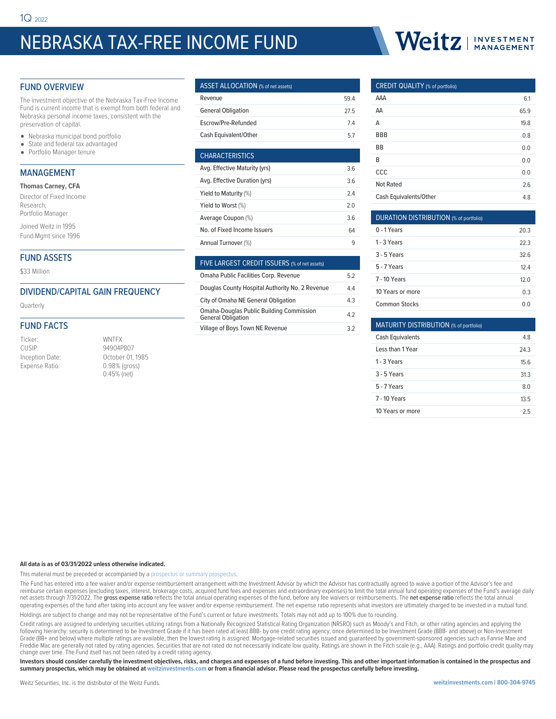# NEBRASKA TAX-FREE INCOME FUND

# Weitz I INVESTMENT

# FUND OVERVIEW

The investment objective of the Nebraska Tax-Free Income Fund is current income that is exempt from both federal and Nebraska personal income taxes, consistent with the preservation of capital.

- Nebraska municipal bond portfolio
- State and federal tax advantaged
- Portfolio Manager tenure

## MANAGEMENT

|  | <b>Thomas Carney, CFA</b> |  |
|--|---------------------------|--|
|--|---------------------------|--|

| Director of Fixed Income |  |
|--------------------------|--|
| Research,                |  |
| Portfolio Manager        |  |

Joined Weitz in 1995 Fund Mgmt since 1996

# FUND ASSETS

\$33 Million

# DIVIDEND/CAPITAL GAIN FREQUENCY

Quarterly

#### FUND FACTS

Ticker: WNTFX CUSIP: 94904P807<br>Inception Date: 01, 0ctober 01, Expense Ratio: 0.98% (gross)

October 01, 1985 0.45% (net)

| <b>ASSET ALLOCATION</b> (% of net assets) |      |
|-------------------------------------------|------|
| Revenue                                   | 594  |
| <b>General Obligation</b>                 | 27.5 |
| Escrow/Pre-Refunded                       | 74   |
| Cash Equivalent/Other                     | 57   |
|                                           |      |

| <b>CHARACTERISTICS</b>        |     |
|-------------------------------|-----|
| Avg. Effective Maturity (yrs) | 3.6 |
| Avg. Effective Duration (yrs) | 36  |
| Yield to Maturity (%)         | 24  |
| Yield to Worst (%)            | 20  |
| Average Coupon (%)            | 36  |
| No. of Fixed Income Issuers   | 64  |
| Annual Turnover (%)           | q   |
|                               |     |

| FIVE LARGEST CREDIT ISSUERS (% of net assets)                                |    |
|------------------------------------------------------------------------------|----|
| Omaha Public Facilities Corp. Revenue                                        | 52 |
| Douglas County Hospital Authority No. 2 Revenue                              | 44 |
| City of Omaha NE General Obligation                                          | 43 |
| <b>Omaha-Douglas Public Building Commission</b><br><b>General Obligation</b> | 42 |
| <b>Village of Boys Town NE Revenue</b>                                       | 32 |

## CREDIT QUALITY (% of portfolio)

| AAA                    | 6.1  |
|------------------------|------|
| AA                     | 65.9 |
| Α                      | 19.8 |
| <b>BBB</b>             | 0.8  |
| BB                     | 0.0  |
| B                      | 0.0  |
| CCC                    | 0.0  |
| <b>Not Rated</b>       | 2.6  |
| Cash Equivalents/Other | 4.8  |

| <b>DURATION DISTRIBUTION</b> (% of portfolio) |      |
|-----------------------------------------------|------|
| $0 - 1$ Years                                 | 20.3 |
| 1 - 3 Years                                   | 223  |
| $3 - 5$ Years                                 | 326  |
| 5 - 7 Years                                   | 124  |
| <b>7 - 10 Years</b>                           | 120  |
| 10 Years or more                              | 0.3  |
| Common Stocks                                 | 0 O  |

| MATURITY DISTRIBUTION (% of portfolio) |      |
|----------------------------------------|------|
| <b>Cash Equivalents</b>                | 48   |
| Less than 1 Year                       | 24.3 |
| 1 - 3 Years                            | 15.6 |
| 3 - 5 Years                            | 31.3 |
| 5 - 7 Years                            | 8.0  |
| <b>7 - 10 Years</b>                    | 13.5 |
| 10 Years or more                       | 25   |

#### **All data is as of 03/31/2022 unless otherwise indicated.**

This material must be preceded or accompanied by a [prospectus or summary prospectus](https://weitzinvestments.com/resources/product-literature/default.fs).

The Fund has entered into a fee waiver and/or expense reimbursement arrangement with the Investment Advisor by which the Advisor has contractually agreed to waive a portion of the Advisor's fee and reimburse certain expenses (excluding taxes, interest, brokerage costs, acquired fund fees and expenses and extraordinary expenses) to limit the total annual fund operating expenses of the Fund's average daily<br>net assets t operating expenses of the fund after taking into account any fee waiver and/or expense reimbursement. The net expense ratio represents what investors are ultimately charged to be invested in a mutual fund.

Holdings are subject to change and may not be representative of the Fund's current or future investments. Totals may not add up to 100% due to rounding.

Credit ratings are assigned to underlying securities utilizing ratings from a Nationally Recognized Statistical Rating Organization (NRSRO) such as Moody's and Fitch, or other rating agencies and applying the following hierarchy: security is determined to be Investment Grade if it has been rated at least BBB- by one credit rating agency; once determined to be Investment Grade (BBB- and above) or Non-Investment Grade (BB+ and below) where multiple ratings are available, then the lowest rating is assigned. Mortgage-related securities issued and guaranteed by government-sponsored agencies such as Fannie Mae and<br>Freddie Mac are gene change over time. The Fund itself has not been rated by a credit rating agency.

**Investors should consider carefully the investment objectives, risks, and charges and expenses of a fund before investing. This and other important information is contained in the prospectus and summary prospectus, which may be obtained at weitzinvestments.com or from a financial advisor. Please read the prospectus carefully before investing.**